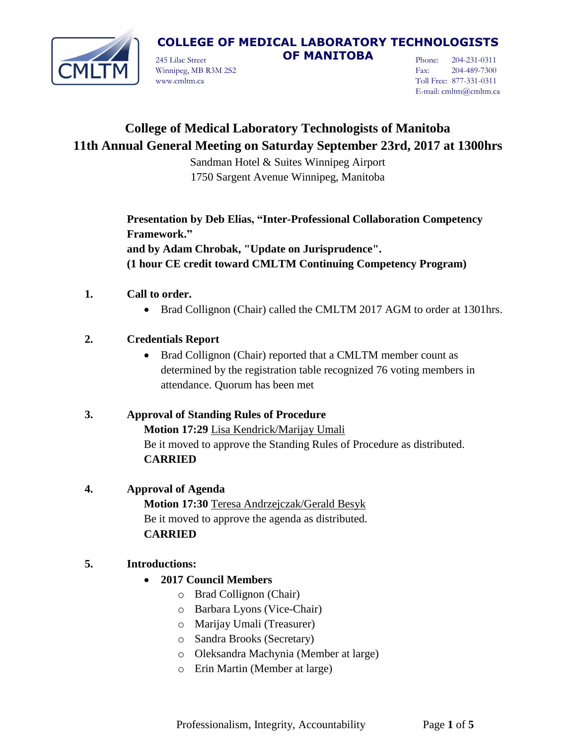

245 Lilac Street **OF MANITOBA** Winnipeg, MB R3M 2S2 www.cmltm.ca

Phone: 204-231-0311 Fax: 204-489-7300 Toll Free: 877-331-0311 E-mail: cmltm@cmltm.ca

## **College of Medical Laboratory Technologists of Manitoba 11th Annual General Meeting on Saturday September 23rd, 2017 at 1300hrs**

Sandman Hotel & Suites Winnipeg Airport 1750 Sargent Avenue Winnipeg, Manitoba

**Presentation by Deb Elias, "Inter-Professional Collaboration Competency Framework."**

**and by Adam Chrobak, "Update on Jurisprudence". (1 hour CE credit toward CMLTM Continuing Competency Program)**

- **1. Call to order.**
	- Brad Collignon (Chair) called the CMLTM 2017 AGM to order at 1301hrs.

## **2. Credentials Report**

• Brad Collignon (Chair) reported that a CMLTM member count as determined by the registration table recognized 76 voting members in attendance. Quorum has been met

## **3. Approval of Standing Rules of Procedure**

**Motion 17:29** Lisa Kendrick/Marijay Umali Be it moved to approve the Standing Rules of Procedure as distributed. **CARRIED**

### **4. Approval of Agenda**

**Motion 17:30** Teresa Andrzejczak/Gerald Besyk Be it moved to approve the agenda as distributed. **CARRIED**

### **5. Introductions:**

- **2017 Council Members**
	- o Brad Collignon (Chair)
	- o Barbara Lyons (Vice-Chair)
	- o Marijay Umali (Treasurer)
	- o Sandra Brooks (Secretary)
	- o Oleksandra Machynia (Member at large)
	- o Erin Martin (Member at large)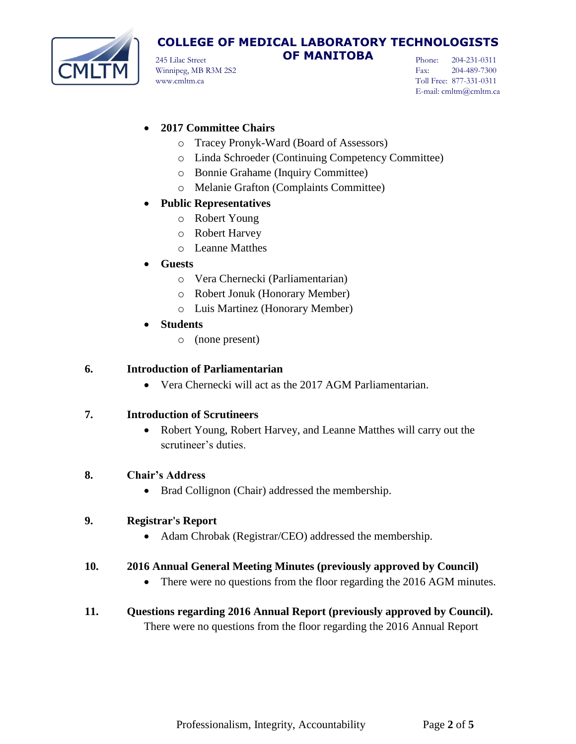

245 Lilac Street **OF MANITOBA** Winnipeg, MB R3M 2S2 www.cmltm.ca

Phone: 204-231-0311 Fax: 204-489-7300 Toll Free: 877-331-0311 E-mail: cmltm@cmltm.ca

## **2017 Committee Chairs**

- o Tracey Pronyk-Ward (Board of Assessors)
- o Linda Schroeder (Continuing Competency Committee)
- o Bonnie Grahame (Inquiry Committee)
- o Melanie Grafton (Complaints Committee)

#### **Public Representatives**

- o Robert Young
- o Robert Harvey
- o Leanne Matthes

#### **Guests**

- o Vera Chernecki (Parliamentarian)
- o Robert Jonuk (Honorary Member)
- o Luis Martinez (Honorary Member)
- **Students**
	- o (none present)

#### **6. Introduction of Parliamentarian**

Vera Chernecki will act as the 2017 AGM Parliamentarian.

#### **7. Introduction of Scrutineers**

 Robert Young, Robert Harvey, and Leanne Matthes will carry out the scrutineer's duties.

#### **8. Chair's Address**

• Brad Collignon (Chair) addressed the membership.

#### **9. Registrar's Report**

• Adam Chrobak (Registrar/CEO) addressed the membership.

#### **10. 2016 Annual General Meeting Minutes (previously approved by Council)**

- There were no questions from the floor regarding the 2016 AGM minutes.
- **11. Questions regarding 2016 Annual Report (previously approved by Council).** There were no questions from the floor regarding the 2016 Annual Report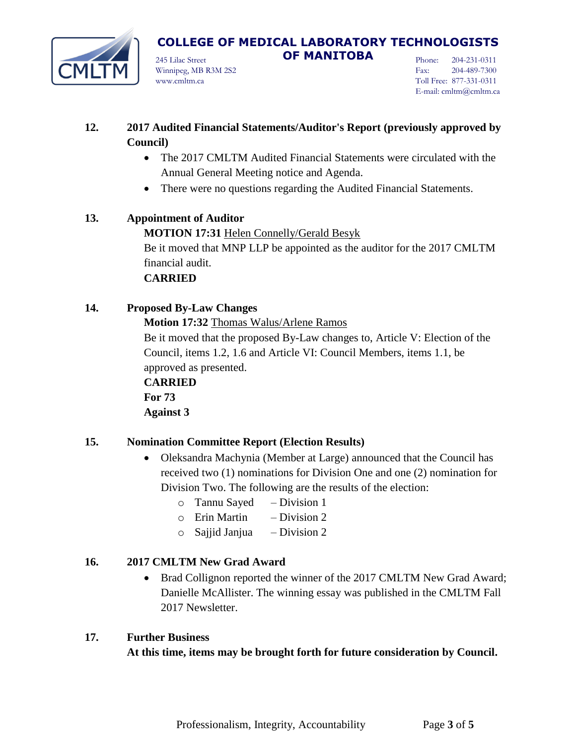

## **COLLEGE OF MEDICAL LABORATORY TECHNOLOGISTS**  245 Lilac Street **OF MANITOBA**

Winnipeg, MB R3M 2S2 www.cmltm.ca

Phone: 204-231-0311 Fax: 204-489-7300 Toll Free: 877-331-0311 E-mail: cmltm@cmltm.ca

- **12. 2017 Audited Financial Statements/Auditor's Report (previously approved by Council)**
	- The 2017 CMLTM Audited Financial Statements were circulated with the Annual General Meeting notice and Agenda.
	- There were no questions regarding the Audited Financial Statements.

## **13. Appointment of Auditor MOTION 17:31** Helen Connelly/Gerald Besyk Be it moved that MNP LLP be appointed as the auditor for the 2017 CMLTM financial audit. **CARRIED**

## **14. Proposed By-Law Changes**

## **Motion 17:32** Thomas Walus/Arlene Ramos

Be it moved that the proposed By-Law changes to, Article V: Election of the Council, items 1.2, 1.6 and Article VI: Council Members, items 1.1, be approved as presented.

**CARRIED For 73 Against 3**

## **15. Nomination Committee Report (Election Results)**

- Oleksandra Machynia (Member at Large) announced that the Council has received two (1) nominations for Division One and one (2) nomination for Division Two. The following are the results of the election:
	- o Tannu Sayed Division 1
	- $\circ$  Erin Martin Division 2
	- $\circ$  Sajjid Janjua Division 2

## **16. 2017 CMLTM New Grad Award**

 Brad Collignon reported the winner of the 2017 CMLTM New Grad Award; Danielle McAllister. The winning essay was published in the CMLTM Fall 2017 Newsletter.

### **17. Further Business**

**At this time, items may be brought forth for future consideration by Council.**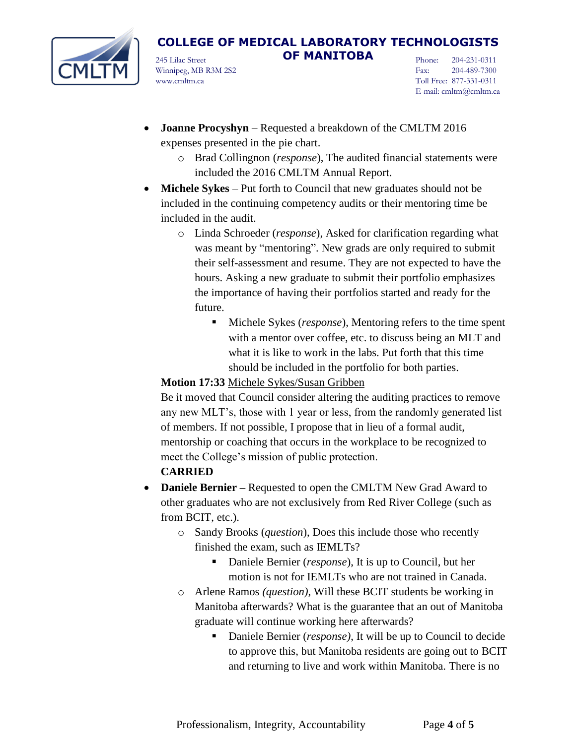

245 Lilac Street **OF MANITOBA** Winnipeg, MB R3M 2S2 www.cmltm.ca

Phone: 204-231-0311 Fax: 204-489-7300 Toll Free: 877-331-0311 E-mail: cmltm@cmltm.ca

- **Joanne Procyshyn** Requested a breakdown of the CMLTM 2016 expenses presented in the pie chart.
	- o Brad Collingnon (*response*), The audited financial statements were included the 2016 CMLTM Annual Report.
- **Michele Sykes**  Put forth to Council that new graduates should not be included in the continuing competency audits or their mentoring time be included in the audit.
	- o Linda Schroeder (*response*), Asked for clarification regarding what was meant by "mentoring". New grads are only required to submit their self-assessment and resume. They are not expected to have the hours. Asking a new graduate to submit their portfolio emphasizes the importance of having their portfolios started and ready for the future.
		- Michele Sykes (*response*), Mentoring refers to the time spent with a mentor over coffee, etc. to discuss being an MLT and what it is like to work in the labs. Put forth that this time should be included in the portfolio for both parties.

## **Motion 17:33** Michele Sykes/Susan Gribben

Be it moved that Council consider altering the auditing practices to remove any new MLT's, those with 1 year or less, from the randomly generated list of members. If not possible, I propose that in lieu of a formal audit, mentorship or coaching that occurs in the workplace to be recognized to meet the College's mission of public protection.

## **CARRIED**

- **Daniele Bernier –** Requested to open the CMLTM New Grad Award to other graduates who are not exclusively from Red River College (such as from BCIT, etc.).
	- o Sandy Brooks (*question*), Does this include those who recently finished the exam, such as IEMLTs?
		- Daniele Bernier (*response*), It is up to Council, but her motion is not for IEMLTs who are not trained in Canada.
	- o Arlene Ramos *(question)*, Will these BCIT students be working in Manitoba afterwards? What is the guarantee that an out of Manitoba graduate will continue working here afterwards?
		- Daniele Bernier (*response*), It will be up to Council to decide to approve this, but Manitoba residents are going out to BCIT and returning to live and work within Manitoba. There is no